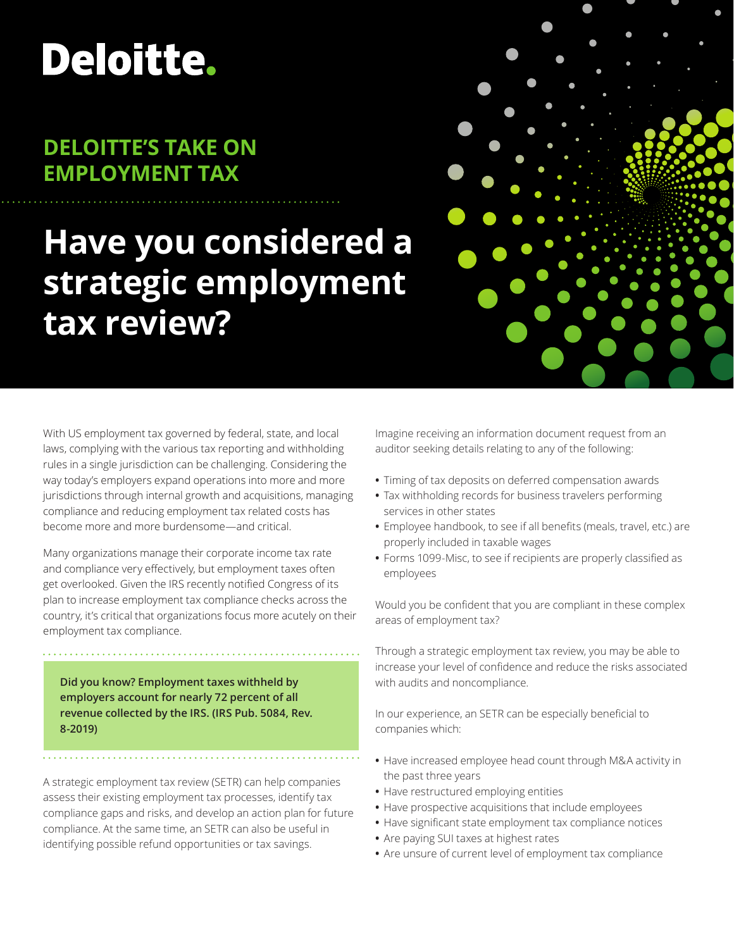# Deloitte.

## **DELOITTE'S TAKE ON EMPLOYMENT TAX**

## **Have you considered a strategic employment tax review?**

With US employment tax governed by federal, state, and local laws, complying with the various tax reporting and withholding rules in a single jurisdiction can be challenging. Considering the way today's employers expand operations into more and more jurisdictions through internal growth and acquisitions, managing compliance and reducing employment tax related costs has become more and more burdensome—and critical.

Many organizations manage their corporate income tax rate and compliance very effectively, but employment taxes often get overlooked. Given the IRS recently notified Congress of its plan to increase employment tax compliance checks across the country, it's critical that organizations focus more acutely on their employment tax compliance.

. . . . . . . . . . . . . . . . .

**Did you know? Employment taxes withheld by employers account for nearly 72 percent of all revenue collected by the IRS. (IRS Pub. 5084, Rev. 8-2019)**

A strategic employment tax review (SETR) can help companies assess their existing employment tax processes, identify tax compliance gaps and risks, and develop an action plan for future compliance. At the same time, an SETR can also be useful in identifying possible refund opportunities or tax savings.

Imagine receiving an information document request from an auditor seeking details relating to any of the following:

- **•** Timing of tax deposits on deferred compensation awards
- **•** Tax withholding records for business travelers performing services in other states
- **•** Employee handbook, to see if all benefits (meals, travel, etc.) are properly included in taxable wages
- **•** Forms 1099-Misc, to see if recipients are properly classified as employees

Would you be confident that you are compliant in these complex areas of employment tax?

Through a strategic employment tax review, you may be able to increase your level of confidence and reduce the risks associated with audits and noncompliance.

In our experience, an SETR can be especially beneficial to companies which:

- **•** Have increased employee head count through M&A activity in the past three years
- **•** Have restructured employing entities
- **•** Have prospective acquisitions that include employees
- **•** Have significant state employment tax compliance notices
- **•** Are paying SUI taxes at highest rates
- **•** Are unsure of current level of employment tax compliance